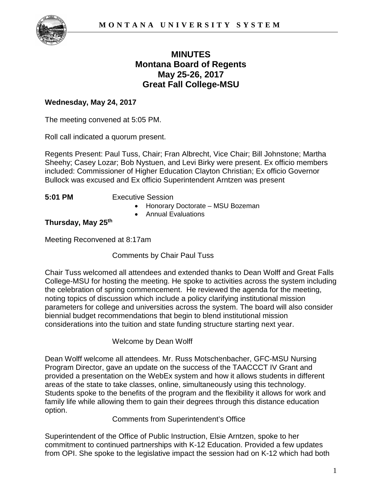

# **MINUTES Montana Board of Regents May 25-26, 2017 Great Fall College-MSU**

## **Wednesday, May 24, 2017**

The meeting convened at 5:05 PM.

Roll call indicated a quorum present.

Regents Present: Paul Tuss, Chair; Fran Albrecht, Vice Chair; Bill Johnstone; Martha Sheehy; Casey Lozar; Bob Nystuen, and Levi Birky were present. Ex officio members included: Commissioner of Higher Education Clayton Christian; Ex officio Governor Bullock was excused and Ex officio Superintendent Arntzen was present

**5:01 PM** Executive Session

- Honorary Doctorate MSU Bozeman
- Annual Evaluations

#### **Thursday, May 25th**

Meeting Reconvened at 8:17am

Comments by Chair Paul Tuss

Chair Tuss welcomed all attendees and extended thanks to Dean Wolff and Great Falls College-MSU for hosting the meeting. He spoke to activities across the system including the celebration of spring commencement. He reviewed the agenda for the meeting, noting topics of discussion which include a policy clarifying institutional mission parameters for college and universities across the system. The board will also consider biennial budget recommendations that begin to blend institutional mission considerations into the tuition and state funding structure starting next year.

#### Welcome by Dean Wolff

Dean Wolff welcome all attendees. Mr. Russ Motschenbacher, GFC-MSU Nursing Program Director, gave an update on the success of the TAACCCT IV Grant and provided a presentation on the WebEx system and how it allows students in different areas of the state to take classes, online, simultaneously using this technology. Students spoke to the benefits of the program and the flexibility it allows for work and family life while allowing them to gain their degrees through this distance education option.

Comments from Superintendent's Office

Superintendent of the Office of Public Instruction, Elsie Arntzen, spoke to her commitment to continued partnerships with K-12 Education. Provided a few updates from OPI. She spoke to the legislative impact the session had on K-12 which had both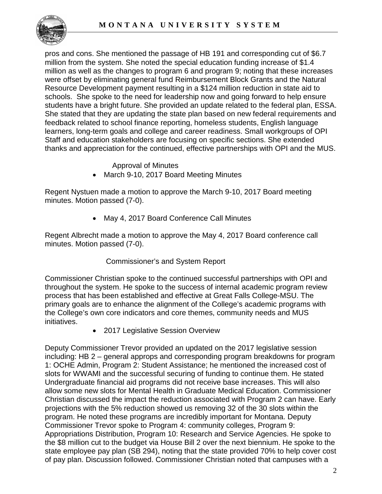

pros and cons. She mentioned the passage of HB 191 and corresponding cut of \$6.7 million from the system. She noted the special education funding increase of \$1.4 million as well as the changes to program 6 and program 9; noting that these increases were offset by eliminating general fund Reimbursement Block Grants and the Natural Resource Development payment resulting in a \$124 million reduction in state aid to schools. She spoke to the need for leadership now and going forward to help ensure students have a bright future. She provided an update related to the federal plan, ESSA. She stated that they are updating the state plan based on new federal requirements and feedback related to school finance reporting, homeless students, English language learners, long-term goals and college and career readiness. Small workgroups of OPI Staff and education stakeholders are focusing on specific sections. She extended thanks and appreciation for the continued, effective partnerships with OPI and the MUS.

Approval of Minutes

• March 9-10, 2017 Board Meeting Minutes

Regent Nystuen made a motion to approve the March 9-10, 2017 Board meeting minutes. Motion passed (7-0).

• May 4, 2017 Board Conference Call Minutes

Regent Albrecht made a motion to approve the May 4, 2017 Board conference call minutes. Motion passed (7-0).

# Commissioner's and System Report

Commissioner Christian spoke to the continued successful partnerships with OPI and throughout the system. He spoke to the success of internal academic program review process that has been established and effective at Great Falls College-MSU. The primary goals are to enhance the alignment of the College's academic programs with the College's own core indicators and core themes, community needs and MUS initiatives.

• 2017 Legislative Session Overview

Deputy Commissioner Trevor provided an updated on the 2017 legislative session including: HB 2 – general approps and corresponding program breakdowns for program 1: OCHE Admin, Program 2: Student Assistance; he mentioned the increased cost of slots for WWAMI and the successful securing of funding to continue them. He stated Undergraduate financial aid programs did not receive base increases. This will also allow some new slots for Mental Health in Graduate Medical Education. Commissioner Christian discussed the impact the reduction associated with Program 2 can have. Early projections with the 5% reduction showed us removing 32 of the 30 slots within the program. He noted these programs are incredibly important for Montana. Deputy Commissioner Trevor spoke to Program 4: community colleges, Program 9: Appropriations Distribution, Program 10: Research and Service Agencies. He spoke to the \$8 million cut to the budget via House Bill 2 over the next biennium. He spoke to the state employee pay plan (SB 294), noting that the state provided 70% to help cover cost of pay plan. Discussion followed. Commissioner Christian noted that campuses with a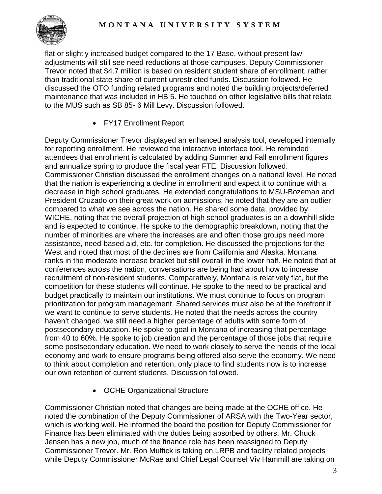

flat or slightly increased budget compared to the 17 Base, without present law adjustments will still see need reductions at those campuses. Deputy Commissioner Trevor noted that \$4.7 million is based on resident student share of enrollment, rather than traditional state share of current unrestricted funds. Discussion followed. He discussed the OTO funding related programs and noted the building projects/deferred maintenance that was included in HB 5. He touched on other legislative bills that relate to the MUS such as SB 85- 6 Mill Levy. Discussion followed.

• FY17 Enrollment Report

Deputy Commissioner Trevor displayed an enhanced analysis tool, developed internally for reporting enrollment. He reviewed the interactive interface tool. He reminded attendees that enrollment is calculated by adding Summer and Fall enrollment figures and annualize spring to produce the fiscal year FTE. Discussion followed. Commissioner Christian discussed the enrollment changes on a national level. He noted that the nation is experiencing a decline in enrollment and expect it to continue with a decrease in high school graduates. He extended congratulations to MSU-Bozeman and President Cruzado on their great work on admissions; he noted that they are an outlier compared to what we see across the nation. He shared some data, provided by WICHE, noting that the overall projection of high school graduates is on a downhill slide and is expected to continue. He spoke to the demographic breakdown, noting that the number of minorities are where the increases are and often those groups need more assistance, need-based aid, etc. for completion. He discussed the projections for the West and noted that most of the declines are from California and Alaska. Montana ranks in the moderate increase bracket but still overall in the lower half. He noted that at conferences across the nation, conversations are being had about how to increase recruitment of non-resident students. Comparatively, Montana is relatively flat, but the competition for these students will continue. He spoke to the need to be practical and budget practically to maintain our institutions. We must continue to focus on program prioritization for program management. Shared services must also be at the forefront if we want to continue to serve students. He noted that the needs across the country haven't changed, we still need a higher percentage of adults with some form of postsecondary education. He spoke to goal in Montana of increasing that percentage from 40 to 60%. He spoke to job creation and the percentage of those jobs that require some postsecondary education. We need to work closely to serve the needs of the local economy and work to ensure programs being offered also serve the economy. We need to think about completion and retention, only place to find students now is to increase our own retention of current students. Discussion followed.

• OCHE Organizational Structure

Commissioner Christian noted that changes are being made at the OCHE office. He noted the combination of the Deputy Commissioner of ARSA with the Two-Year sector, which is working well. He informed the board the position for Deputy Commissioner for Finance has been eliminated with the duties being absorbed by others. Mr. Chuck Jensen has a new job, much of the finance role has been reassigned to Deputy Commissioner Trevor. Mr. Ron Muffick is taking on LRPB and facility related projects while Deputy Commissioner McRae and Chief Legal Counsel Viv Hammill are taking on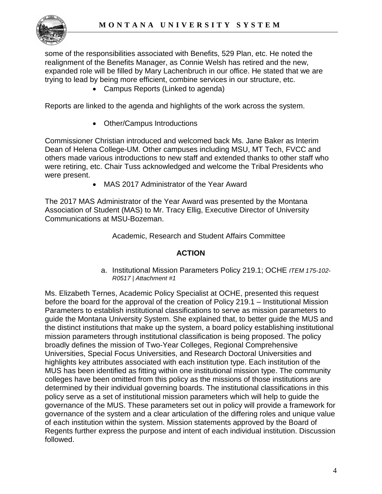

some of the responsibilities associated with Benefits, 529 Plan, etc. He noted the realignment of the Benefits Manager, as Connie Welsh has retired and the new, expanded role will be filled by Mary Lachenbruch in our office. He stated that we are trying to lead by being more efficient, combine services in our structure, etc.

• Campus Reports (Linked to agenda)

Reports are linked to the agenda and highlights of the work across the system.

• Other/Campus Introductions

Commissioner Christian introduced and welcomed back Ms. Jane Baker as Interim Dean of Helena College-UM. Other campuses including MSU, MT Tech, FVCC and others made various introductions to new staff and extended thanks to other staff who were retiring, etc. Chair Tuss acknowledged and welcome the Tribal Presidents who were present.

• MAS 2017 Administrator of the Year Award

The 2017 MAS Administrator of the Year Award was presented by the Montana Association of Student (MAS) to Mr. Tracy Ellig, Executive Director of University Communications at MSU-Bozeman.

Academic, Research and Student Affairs Committee

#### **ACTION**

a. Institutional Mission Parameters Policy 219.1; OCHE *ITEM 175-102- R0517 | Attachment #1* 

Ms. Elizabeth Ternes, Academic Policy Specialist at OCHE, presented this request before the board for the approval of the creation of Policy 219.1 – Institutional Mission Parameters to establish institutional classifications to serve as mission parameters to guide the Montana University System. She explained that, to better guide the MUS and the distinct institutions that make up the system, a board policy establishing institutional mission parameters through institutional classification is being proposed. The policy broadly defines the mission of Two-Year Colleges, Regional Comprehensive Universities, Special Focus Universities, and Research Doctoral Universities and highlights key attributes associated with each institution type. Each institution of the MUS has been identified as fitting within one institutional mission type. The community colleges have been omitted from this policy as the missions of those institutions are determined by their individual governing boards. The institutional classifications in this policy serve as a set of institutional mission parameters which will help to guide the governance of the MUS. These parameters set out in policy will provide a framework for governance of the system and a clear articulation of the differing roles and unique value of each institution within the system. Mission statements approved by the Board of Regents further express the purpose and intent of each individual institution. Discussion followed.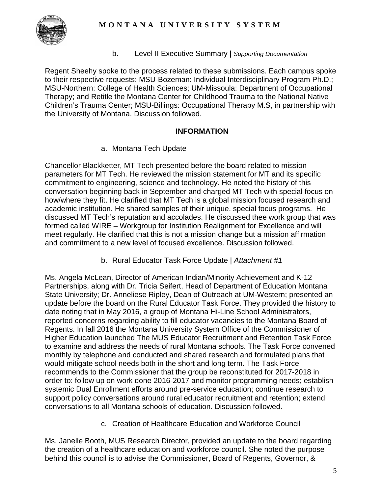

b. Level II Executive Summary | *Supporting Documentation*

Regent Sheehy spoke to the process related to these submissions. Each campus spoke to their respective requests: MSU-Bozeman: Individual Interdisciplinary Program Ph.D.; MSU-Northern: College of Health Sciences; UM-Missoula: Department of Occupational Therapy; and Retitle the Montana Center for Childhood Trauma to the National Native Children's Trauma Center; MSU-Billings: Occupational Therapy M.S, in partnership with the University of Montana. Discussion followed.

# **INFORMATION**

a. Montana Tech Update

Chancellor Blackketter, MT Tech presented before the board related to mission parameters for MT Tech. He reviewed the mission statement for MT and its specific commitment to engineering, science and technology. He noted the history of this conversation beginning back in September and charged MT Tech with special focus on how/where they fit. He clarified that MT Tech is a global mission focused research and academic institution. He shared samples of their unique, special focus programs. He discussed MT Tech's reputation and accolades. He discussed thee work group that was formed called WIRE – Workgroup for Institution Realignment for Excellence and will meet regularly. He clarified that this is not a mission change but a mission affirmation and commitment to a new level of focused excellence. Discussion followed.

b. Rural Educator Task Force Update | *Attachment #1* 

Ms. Angela McLean, Director of American Indian/Minority Achievement and K-12 Partnerships, along with Dr. Tricia Seifert, Head of Department of Education Montana State University; Dr. Anneliese Ripley, Dean of Outreach at UM-Western; presented an update before the board on the Rural Educator Task Force. They provided the history to date noting that in May 2016, a group of Montana Hi-Line School Administrators, reported concerns regarding ability to fill educator vacancies to the Montana Board of Regents. In fall 2016 the Montana University System Office of the Commissioner of Higher Education launched The MUS Educator Recruitment and Retention Task Force to examine and address the needs of rural Montana schools. The Task Force convened monthly by telephone and conducted and shared research and formulated plans that would mitigate school needs both in the short and long term. The Task Force recommends to the Commissioner that the group be reconstituted for 2017-2018 in order to: follow up on work done 2016-2017 and monitor programming needs; establish systemic Dual Enrollment efforts around pre-service education; continue research to support policy conversations around rural educator recruitment and retention; extend conversations to all Montana schools of education. Discussion followed.

c. Creation of Healthcare Education and Workforce Council

Ms. Janelle Booth, MUS Research Director, provided an update to the board regarding the creation of a healthcare education and workforce council. She noted the purpose behind this council is to advise the Commissioner, Board of Regents, Governor, &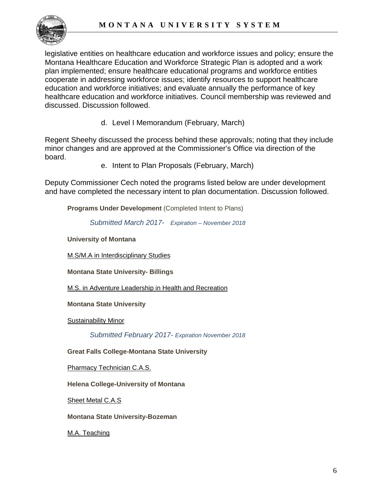

legislative entities on healthcare education and workforce issues and policy; ensure the Montana Healthcare Education and Workforce Strategic Plan is adopted and a work plan implemented; ensure healthcare educational programs and workforce entities cooperate in addressing workforce issues; identify resources to support healthcare education and workforce initiatives; and evaluate annually the performance of key healthcare education and workforce initiatives. Council membership was reviewed and discussed. Discussion followed.

d. Level I Memorandum (February, March)

Regent Sheehy discussed the process behind these approvals; noting that they include minor changes and are approved at the Commissioner's Office via direction of the board.

e. Intent to Plan Proposals (February, March)

Deputy Commissioner Cech noted the programs listed below are under development and have completed the necessary intent to plan documentation. Discussion followed.

**Programs Under Development** (Completed Intent to Plans)

*Submitted March 2017- Expiration – November 2018*

**University of Montana**

[M.S/M.A in Interdisciplinary Studies](http://mus.edu/che/arsa/IntenttoPlan/2017/UM/I2P_UM_March2017_MIStoMA_MS.PDF)

**Montana State University- Billings**

[M.S. in Adventure Leadership in Health and Recreation](http://mus.edu/che/arsa/IntenttoPlan/2017/MSUB/I2P_MSUB_March2017_HealthRec.pdf)

**Montana State University**

[Sustainability Minor](http://mus.edu/che/arsa/IntenttoPlan/2017/MSU/I2P_MSU_March2017_SustainMinor.pdf)

*Submitted February 2017- Expiration November 2018*

**Great Falls College-Montana State University**

[Pharmacy Technician C.A.S.](http://mus.edu/che/arsa/IntenttoPlan/2017/GFC/I2p_GF_March2017_PharmCAS.PDF)

**Helena College-University of Montana**

[Sheet Metal C.A.S](http://mus.edu/che/arsa/IntenttoPlan/2017/HC/I2P_HC_February2017_SheetMetalCAS.PDF)

**Montana State University-Bozeman**

[M.A. Teaching](http://mus.edu/che/arsa/IntenttoPlan/2017/MSU/I2P_MSU_March2017_MAteaching.pdf)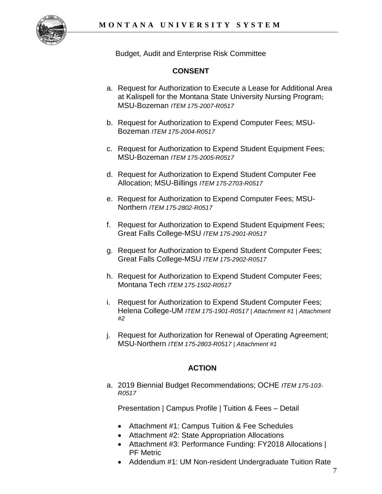

Budget, Audit and Enterprise Risk Committee

# **CONSENT**

- a. Request for Authorization to Execute a Lease for Additional Area at Kalispell for the Montana State University Nursing Program; MSU-Bozeman *ITEM 175-2007-R0517*
- b. Request for Authorization to Expend Computer Fees; MSU-Bozeman *ITEM 175-2004-R0517*
- c. Request for Authorization to Expend Student Equipment Fees; MSU-Bozeman *ITEM 175-2005-R0517*
- d. Request for Authorization to Expend Student Computer Fee Allocation; MSU-Billings *ITEM 175-2703-R0517*
- e. Request for Authorization to Expend Computer Fees; MSU-Northern *ITEM 175-2802-R0517*
- f. Request for Authorization to Expend Student Equipment Fees; Great Falls College-MSU *ITEM 175-2901-R0517*
- g. Request for Authorization to Expend Student Computer Fees; Great Falls College-MSU *ITEM 175-2902-R0517*
- h. Request for Authorization to Expend Student Computer Fees; Montana Tech *ITEM 175-1502-R0517*
- i. Request for Authorization to Expend Student Computer Fees; Helena College-UM *ITEM 175-1901-R0517 | Attachment #1 | Attachment #2*
- j. Request for Authorization for Renewal of Operating Agreement; MSU-Northern *ITEM 175-2803-R0517 | Attachment #1*

# **ACTION**

a. 2019 Biennial Budget Recommendations; OCHE *ITEM 175-103- R0517*

Presentation | Campus Profile | Tuition & Fees – Detail

- Attachment #1: Campus Tuition & Fee Schedules
- Attachment #2: State Appropriation Allocations
- Attachment #3: Performance Funding: FY2018 Allocations | PF Metric
- Addendum #1: UM Non-resident Undergraduate Tuition Rate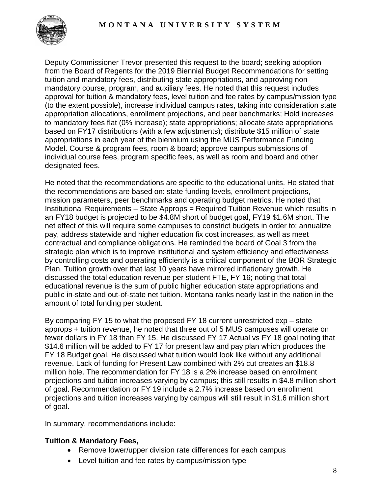

Deputy Commissioner Trevor presented this request to the board; seeking adoption from the Board of Regents for the 2019 Biennial Budget Recommendations for setting tuition and mandatory fees, distributing state appropriations, and approving nonmandatory course, program, and auxiliary fees. He noted that this request includes approval for tuition & mandatory fees, level tuition and fee rates by campus/mission type (to the extent possible), increase individual campus rates, taking into consideration state appropriation allocations, enrollment projections, and peer benchmarks; Hold increases to mandatory fees flat (0% increase); state appropriations; allocate state appropriations based on FY17 distributions (with a few adjustments); distribute \$15 million of state appropriations in each year of the biennium using the MUS Performance Funding Model. Course & program fees, room & board; approve campus submissions of individual course fees, program specific fees, as well as room and board and other designated fees.

He noted that the recommendations are specific to the educational units. He stated that the recommendations are based on: state funding levels, enrollment projections, mission parameters, peer benchmarks and operating budget metrics. He noted that Institutional Requirements – State Approps = Required Tuition Revenue which results in an FY18 budget is projected to be \$4.8M short of budget goal, FY19 \$1.6M short. The net effect of this will require some campuses to constrict budgets in order to: annualize pay, address statewide and higher education fix cost increases, as well as meet contractual and compliance obligations. He reminded the board of Goal 3 from the strategic plan which is to improve institutional and system efficiency and effectiveness by controlling costs and operating efficiently is a critical component of the BOR Strategic Plan. Tuition growth over that last 10 years have mirrored inflationary growth. He discussed the total education revenue per student FTE, FY 16; noting that total educational revenue is the sum of public higher education state appropriations and public in-state and out-of-state net tuition. Montana ranks nearly last in the nation in the amount of total funding per student.

By comparing FY 15 to what the proposed FY 18 current unrestricted exp – state approps + tuition revenue, he noted that three out of 5 MUS campuses will operate on fewer dollars in FY 18 than FY 15. He discussed FY 17 Actual vs FY 18 goal noting that \$14.6 million will be added to FY 17 for present law and pay plan which produces the FY 18 Budget goal. He discussed what tuition would look like without any additional revenue. Lack of funding for Present Law combined with 2% cut creates an \$18.8 million hole. The recommendation for FY 18 is a 2% increase based on enrollment projections and tuition increases varying by campus; this still results in \$4.8 million short of goal. Recommendation or FY 19 include a 2.7% increase based on enrollment projections and tuition increases varying by campus will still result in \$1.6 million short of goal.

In summary, recommendations include:

# **Tuition & Mandatory Fees,**

- Remove lower/upper division rate differences for each campus
- Level tuition and fee rates by campus/mission type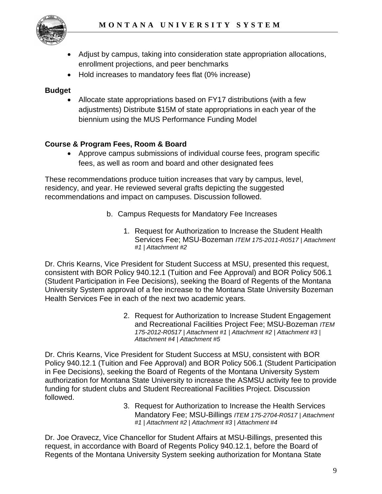

- Adjust by campus, taking into consideration state appropriation allocations, enrollment projections, and peer benchmarks
- Hold increases to mandatory fees flat (0% increase)

# **Budget**

• Allocate state appropriations based on FY17 distributions (with a few adjustments) Distribute \$15M of state appropriations in each year of the biennium using the MUS Performance Funding Model

# **Course & Program Fees, Room & Board**

• Approve campus submissions of individual course fees, program specific fees, as well as room and board and other designated fees

These recommendations produce tuition increases that vary by campus, level, residency, and year. He reviewed several grafts depicting the suggested recommendations and impact on campuses. Discussion followed.

- b. Campus Requests for Mandatory Fee Increases
	- 1. Request for Authorization to Increase the Student Health Services Fee; MSU-Bozeman *ITEM 175-2011-R0517 | Attachment #1 | Attachment #2*

Dr. Chris Kearns, Vice President for Student Success at MSU, presented this request, consistent with BOR Policy 940.12.1 (Tuition and Fee Approval) and BOR Policy 506.1 (Student Participation in Fee Decisions), seeking the Board of Regents of the Montana University System approval of a fee increase to the Montana State University Bozeman Health Services Fee in each of the next two academic years.

> 2. Request for Authorization to Increase Student Engagement and Recreational Facilities Project Fee; MSU-Bozeman *ITEM 175-2012-R0517 | Attachment #1 | Attachment #2 | Attachment #3 | Attachment #4 | Attachment #5*

Dr. Chris Kearns, Vice President for Student Success at MSU, consistent with BOR Policy 940.12.1 (Tuition and Fee Approval) and BOR Policy 506.1 (Student Participation in Fee Decisions), seeking the Board of Regents of the Montana University System authorization for Montana State University to increase the ASMSU activity fee to provide funding for student clubs and Student Recreational Facilities Project. Discussion followed.

> 3. Request for Authorization to Increase the Health Services Mandatory Fee; MSU-Billings *ITEM 175-2704-R0517 | Attachment #1 | Attachment #2 | Attachment #3 | Attachment #4*

Dr. Joe Oravecz, Vice Chancellor for Student Affairs at MSU-Billings, presented this request, in accordance with Board of Regents Policy 940.12.1, before the Board of Regents of the Montana University System seeking authorization for Montana State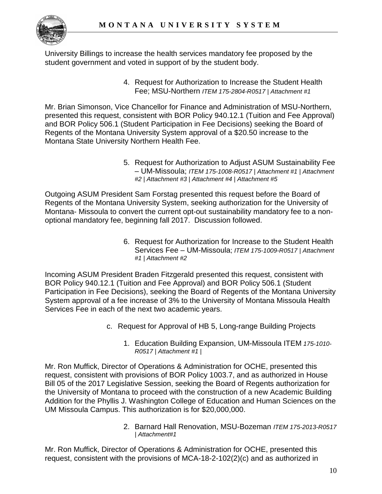

University Billings to increase the health services mandatory fee proposed by the student government and voted in support of by the student body.

> 4. Request for Authorization to Increase the Student Health Fee; MSU-Northern *ITEM 175-2804-R0517 | Attachment #1*

Mr. Brian Simonson, Vice Chancellor for Finance and Administration of MSU-Northern, presented this request, consistent with BOR Policy 940.12.1 (Tuition and Fee Approval) and BOR Policy 506.1 (Student Participation in Fee Decisions) seeking the Board of Regents of the Montana University System approval of a \$20.50 increase to the Montana State University Northern Health Fee.

> 5. Request for Authorization to Adjust ASUM Sustainability Fee – UM-Missoula; *ITEM 175-1008-R0517 | Attachment #1 | Attachment #2 | Attachment #3 | Attachment #4 | Attachment #5*

Outgoing ASUM President Sam Forstag presented this request before the Board of Regents of the Montana University System, seeking authorization for the University of Montana- Missoula to convert the current opt-out sustainability mandatory fee to a nonoptional mandatory fee, beginning fall 2017. Discussion followed.

> 6. Request for Authorization for Increase to the Student Health Services Fee – UM-Missoula; *ITEM 175-1009-R0517 | Attachment #1 | Attachment #2*

Incoming ASUM President Braden Fitzgerald presented this request, consistent with BOR Policy 940.12.1 (Tuition and Fee Approval) and BOR Policy 506.1 (Student Participation in Fee Decisions), seeking the Board of Regents of the Montana University System approval of a fee increase of 3% to the University of Montana Missoula Health Services Fee in each of the next two academic years.

- c. Request for Approval of HB 5, Long-range Building Projects
	- 1. Education Building Expansion, UM-Missoula ITEM *175-1010- R0517 | Attachment #1 |*

Mr. Ron Muffick, Director of Operations & Administration for OCHE, presented this request, consistent with provisions of BOR Policy 1003.7, and as authorized in House Bill 05 of the 2017 Legislative Session, seeking the Board of Regents authorization for the University of Montana to proceed with the construction of a new Academic Building Addition for the Phyllis J. Washington College of Education and Human Sciences on the UM Missoula Campus. This authorization is for \$20,000,000.

> 2. Barnard Hall Renovation, MSU-Bozeman *ITEM 175-2013-R0517 | Attachment#1*

Mr. Ron Muffick, Director of Operations & Administration for OCHE, presented this request, consistent with the provisions of MCA-18-2-102(2)(c) and as authorized in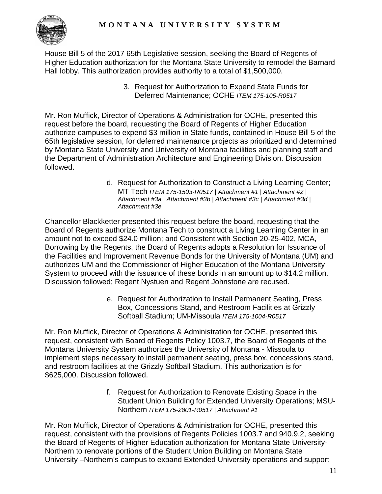

House Bill 5 of the 2017 65th Legislative session, seeking the Board of Regents of Higher Education authorization for the Montana State University to remodel the Barnard Hall lobby. This authorization provides authority to a total of \$1,500,000.

> 3. Request for Authorization to Expend State Funds for Deferred Maintenance; OCHE *ITEM 175-105-R0517*

Mr. Ron Muffick, Director of Operations & Administration for OCHE, presented this request before the board, requesting the Board of Regents of Higher Education authorize campuses to expend \$3 million in State funds, contained in House Bill 5 of the 65th legislative session, for deferred maintenance projects as prioritized and determined by Montana State University and University of Montana facilities and planning staff and the Department of Administration Architecture and Engineering Division. Discussion followed.

> d. Request for Authorization to Construct a Living Learning Center; MT Tech *ITEM 175-1503-R0517 | Attachment #1 | Attachment #2 | Attachment #3a | Attachment #3b | Attachment #3c | Attachment #3d | Attachment #3e*

Chancellor Blackketter presented this request before the board, requesting that the Board of Regents authorize Montana Tech to construct a Living Learning Center in an amount not to exceed \$24.0 million; and Consistent with Section 20-25-402, MCA, Borrowing by the Regents, the Board of Regents adopts a Resolution for Issuance of the Facilities and Improvement Revenue Bonds for the University of Montana (UM) and authorizes UM and the Commissioner of Higher Education of the Montana University System to proceed with the issuance of these bonds in an amount up to \$14.2 million. Discussion followed; Regent Nystuen and Regent Johnstone are recused.

> e. Request for Authorization to Install Permanent Seating, Press Box, Concessions Stand, and Restroom Facilities at Grizzly Softball Stadium; UM-Missoula *ITEM 175-1004-R0517*

Mr. Ron Muffick, Director of Operations & Administration for OCHE, presented this request, consistent with Board of Regents Policy 1003.7, the Board of Regents of the Montana University System authorizes the University of Montana - Missoula to implement steps necessary to install permanent seating, press box, concessions stand, and restroom facilities at the Grizzly Softball Stadium. This authorization is for \$625,000. Discussion followed.

> f. Request for Authorization to Renovate Existing Space in the Student Union Building for Extended University Operations; MSU-Northern *ITEM 175-2801-R0517 | Attachment #1*

Mr. Ron Muffick, Director of Operations & Administration for OCHE, presented this request, consistent with the provisions of Regents Policies 1003.7 and 940.9.2, seeking the Board of Regents of Higher Education authorization for Montana State University-Northern to renovate portions of the Student Union Building on Montana State University –Northern's campus to expand Extended University operations and support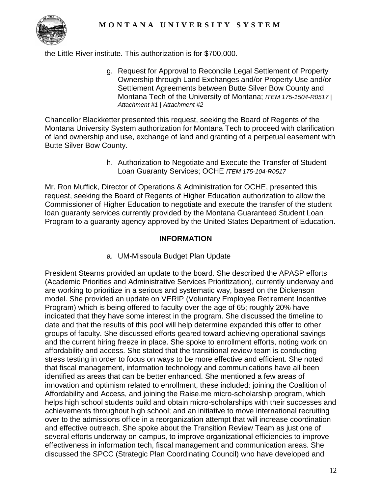

the Little River institute. This authorization is for \$700,000.

g. Request for Approval to Reconcile Legal Settlement of Property Ownership through Land Exchanges and/or Property Use and/or Settlement Agreements between Butte Silver Bow County and Montana Tech of the University of Montana; *ITEM 175-1504-R0517 | Attachment #1 | Attachment #2*

Chancellor Blackketter presented this request, seeking the Board of Regents of the Montana University System authorization for Montana Tech to proceed with clarification of land ownership and use, exchange of land and granting of a perpetual easement with Butte Silver Bow County.

> h. Authorization to Negotiate and Execute the Transfer of Student Loan Guaranty Services; OCHE *ITEM 175-104-R0517*

Mr. Ron Muffick, Director of Operations & Administration for OCHE, presented this request, seeking the Board of Regents of Higher Education authorization to allow the Commissioner of Higher Education to negotiate and execute the transfer of the student loan guaranty services currently provided by the Montana Guaranteed Student Loan Program to a guaranty agency approved by the United States Department of Education.

# **INFORMATION**

a. UM-Missoula Budget Plan Update

President Stearns provided an update to the board. She described the APASP efforts (Academic Priorities and Administrative Services Prioritization), currently underway and are working to prioritize in a serious and systematic way, based on the Dickenson model. She provided an update on VERIP (Voluntary Employee Retirement Incentive Program) which is being offered to faculty over the age of 65; roughly 20% have indicated that they have some interest in the program. She discussed the timeline to date and that the results of this pool will help determine expanded this offer to other groups of faculty. She discussed efforts geared toward achieving operational savings and the current hiring freeze in place. She spoke to enrollment efforts, noting work on affordability and access. She stated that the transitional review team is conducting stress testing in order to focus on ways to be more effective and efficient. She noted that fiscal management, information technology and communications have all been identified as areas that can be better enhanced. She mentioned a few areas of innovation and optimism related to enrollment, these included: joining the Coalition of Affordability and Access, and joining the Raise.me micro-scholarship program, which helps high school students build and obtain micro-scholarships with their successes and achievements throughout high school; and an initiative to move international recruiting over to the admissions office in a reorganization attempt that will increase coordination and effective outreach. She spoke about the Transition Review Team as just one of several efforts underway on campus, to improve organizational efficiencies to improve effectiveness in information tech, fiscal management and communication areas. She discussed the SPCC (Strategic Plan Coordinating Council) who have developed and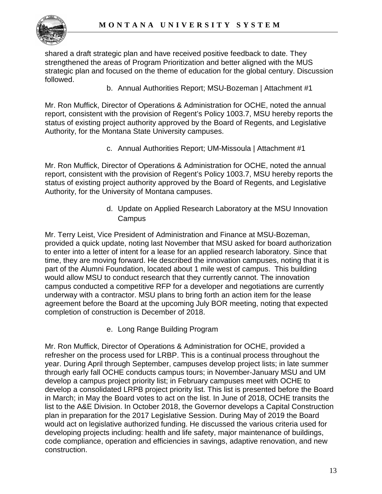

shared a draft strategic plan and have received positive feedback to date. They strengthened the areas of Program Prioritization and better aligned with the MUS strategic plan and focused on the theme of education for the global century. Discussion followed.

b. Annual Authorities Report; MSU-Bozeman | Attachment #1

Mr. Ron Muffick, Director of Operations & Administration for OCHE, noted the annual report, consistent with the provision of Regent's Policy 1003.7, MSU hereby reports the status of existing project authority approved by the Board of Regents, and Legislative Authority, for the Montana State University campuses.

c. Annual Authorities Report; UM-Missoula | Attachment #1

Mr. Ron Muffick, Director of Operations & Administration for OCHE, noted the annual report, consistent with the provision of Regent's Policy 1003.7, MSU hereby reports the status of existing project authority approved by the Board of Regents, and Legislative Authority, for the University of Montana campuses.

> d. Update on Applied Research Laboratory at the MSU Innovation **Campus**

Mr. Terry Leist, Vice President of Administration and Finance at MSU-Bozeman, provided a quick update, noting last November that MSU asked for board authorization to enter into a letter of intent for a lease for an applied research laboratory. Since that time, they are moving forward. He described the innovation campuses, noting that it is part of the Alumni Foundation, located about 1 mile west of campus. This building would allow MSU to conduct research that they currently cannot. The innovation campus conducted a competitive RFP for a developer and negotiations are currently underway with a contractor. MSU plans to bring forth an action item for the lease agreement before the Board at the upcoming July BOR meeting, noting that expected completion of construction is December of 2018.

e. Long Range Building Program

Mr. Ron Muffick, Director of Operations & Administration for OCHE, provided a refresher on the process used for LRBP. This is a continual process throughout the year. During April through September, campuses develop project lists; in late summer through early fall OCHE conducts campus tours; in November-January MSU and UM develop a campus project priority list; in February campuses meet with OCHE to develop a consolidated LRPB project priority list. This list is presented before the Board in March; in May the Board votes to act on the list. In June of 2018, OCHE transits the list to the A&E Division. In October 2018, the Governor develops a Capital Construction plan in preparation for the 2017 Legislative Session. During May of 2019 the Board would act on legislative authorized funding. He discussed the various criteria used for developing projects including: health and life safety, major maintenance of buildings, code compliance, operation and efficiencies in savings, adaptive renovation, and new construction.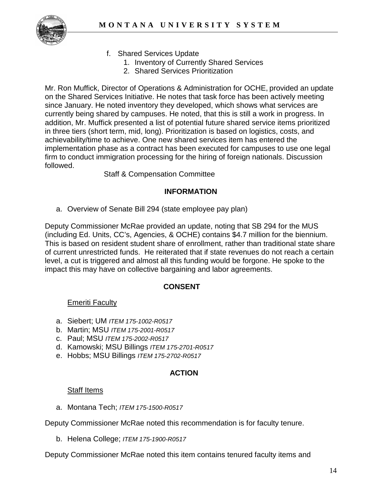

- f. Shared Services Update
	- 1. Inventory of Currently Shared Services
	- 2. Shared Services Prioritization

Mr. Ron Muffick, Director of Operations & Administration for OCHE, provided an update on the Shared Services Initiative. He notes that task force has been actively meeting since January. He noted inventory they developed, which shows what services are currently being shared by campuses. He noted, that this is still a work in progress. In addition, Mr. Muffick presented a list of potential future shared service items prioritized in three tiers (short term, mid, long). Prioritization is based on logistics, costs, and achievability/time to achieve. One new shared services item has entered the implementation phase as a contract has been executed for campuses to use one legal firm to conduct immigration processing for the hiring of foreign nationals. Discussion followed.

### Staff & Compensation Committee

#### **INFORMATION**

a. Overview of Senate Bill 294 (state employee pay plan)

Deputy Commissioner McRae provided an update, noting that SB 294 for the MUS (including Ed. Units, CC's, Agencies, & OCHE) contains \$4.7 million for the biennium. This is based on resident student share of enrollment, rather than traditional state share of current unrestricted funds. He reiterated that if state revenues do not reach a certain level, a cut is triggered and almost all this funding would be forgone. He spoke to the impact this may have on collective bargaining and labor agreements.

#### **CONSENT**

# Emeriti Faculty

- a. Siebert; UM *ITEM 175-1002-R0517*
- b. Martin; MSU *ITEM 175-2001-R0517*
- c. Paul; MSU *ITEM 175-2002-R0517*
- d. Kamowski; MSU Billings *ITEM 175-2701-R0517*
- e. Hobbs; MSU Billings *ITEM 175-2702-R0517*

#### **ACTION**

#### **Staff Items**

a. Montana Tech; *ITEM 175-1500-R0517*

Deputy Commissioner McRae noted this recommendation is for faculty tenure.

b. Helena College; *ITEM 175-1900-R0517*

Deputy Commissioner McRae noted this item contains tenured faculty items and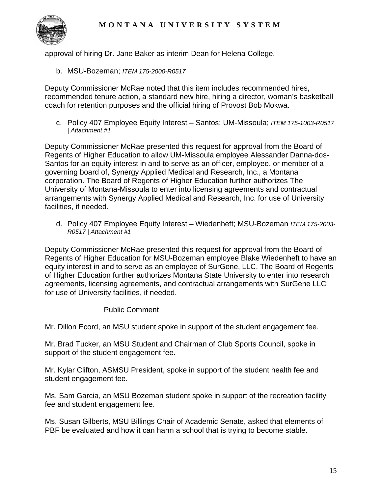

approval of hiring Dr. Jane Baker as interim Dean for Helena College.

b. MSU-Bozeman; *ITEM 175-2000-R0517*

Deputy Commissioner McRae noted that this item includes recommended hires, recommended tenure action, a standard new hire, hiring a director, woman's basketball coach for retention purposes and the official hiring of Provost Bob Mokwa.

c. Policy 407 Employee Equity Interest – Santos; UM-Missoula; *ITEM 175-1003-R0517 | Attachment #1*

Deputy Commissioner McRae presented this request for approval from the Board of Regents of Higher Education to allow UM-Missoula employee Alessander Danna-dos-Santos for an equity interest in and to serve as an officer, employee, or member of a governing board of, Synergy Applied Medical and Research, Inc., a Montana corporation. The Board of Regents of Higher Education further authorizes The University of Montana-Missoula to enter into licensing agreements and contractual arrangements with Synergy Applied Medical and Research, Inc. for use of University facilities, if needed.

d. Policy 407 Employee Equity Interest – Wiedenheft; MSU-Bozeman *ITEM 175-2003- R0517 | Attachment #1*

Deputy Commissioner McRae presented this request for approval from the Board of Regents of Higher Education for MSU-Bozeman employee Blake Wiedenheft to have an equity interest in and to serve as an employee of SurGene, LLC. The Board of Regents of Higher Education further authorizes Montana State University to enter into research agreements, licensing agreements, and contractual arrangements with SurGene LLC for use of University facilities, if needed.

#### Public Comment

Mr. Dillon Ecord, an MSU student spoke in support of the student engagement fee.

Mr. Brad Tucker, an MSU Student and Chairman of Club Sports Council, spoke in support of the student engagement fee.

Mr. Kylar Clifton, ASMSU President, spoke in support of the student health fee and student engagement fee.

Ms. Sam Garcia, an MSU Bozeman student spoke in support of the recreation facility fee and student engagement fee.

Ms. Susan Gilberts, MSU Billings Chair of Academic Senate, asked that elements of PBF be evaluated and how it can harm a school that is trying to become stable.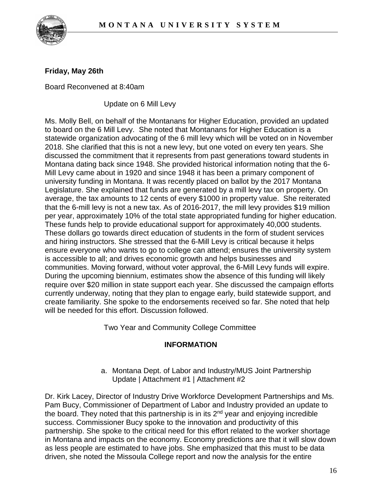

# **Friday, May 26th**

Board Reconvened at 8:40am

Update on 6 Mill Levy

Ms. Molly Bell, on behalf of the Montanans for Higher Education, provided an updated to board on the 6 Mill Levy. She noted that Montanans for Higher Education is a statewide organization advocating of the 6 mill levy which will be voted on in November 2018. She clarified that this is not a new levy, but one voted on every ten years. She discussed the commitment that it represents from past generations toward students in Montana dating back since 1948. She provided historical information noting that the 6- Mill Levy came about in 1920 and since 1948 it has been a primary component of university funding in Montana. It was recently placed on ballot by the 2017 Montana Legislature. She explained that funds are generated by a mill levy tax on property. On average, the tax amounts to 12 cents of every \$1000 in property value. She reiterated that the 6-mill levy is not a new tax. As of 2016-2017, the mill levy provides \$19 million per year, approximately 10% of the total state appropriated funding for higher education. These funds help to provide educational support for approximately 40,000 students. These dollars go towards direct education of students in the form of student services and hiring instructors. She stressed that the 6-Mill Levy is critical because it helps ensure everyone who wants to go to college can attend; ensures the university system is accessible to all; and drives economic growth and helps businesses and communities. Moving forward, without voter approval, the 6-Mill Levy funds will expire. During the upcoming biennium, estimates show the absence of this funding will likely require over \$20 million in state support each year. She discussed the campaign efforts currently underway, noting that they plan to engage early, build statewide support, and create familiarity. She spoke to the endorsements received so far. She noted that help will be needed for this effort. Discussion followed.

Two Year and Community College Committee

#### **INFORMATION**

a. Montana Dept. of Labor and Industry/MUS Joint Partnership Update | Attachment #1 | Attachment #2

Dr. Kirk Lacey, Director of Industry Drive Workforce Development Partnerships and Ms. Pam Bucy, Commissioner of Department of Labor and Industry provided an update to the board. They noted that this partnership is in its 2<sup>nd</sup> year and enjoying incredible success. Commissioner Bucy spoke to the innovation and productivity of this partnership. She spoke to the critical need for this effort related to the worker shortage in Montana and impacts on the economy. Economy predictions are that it will slow down as less people are estimated to have jobs. She emphasized that this must to be data driven, she noted the Missoula College report and now the analysis for the entire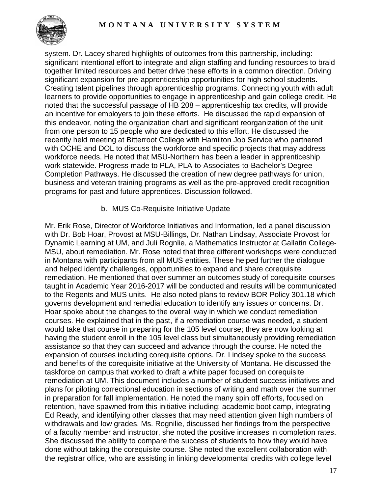

system. Dr. Lacey shared highlights of outcomes from this partnership, including: significant intentional effort to integrate and align staffing and funding resources to braid together limited resources and better drive these efforts in a common direction. Driving significant expansion for pre-apprenticeship opportunities for high school students. Creating talent pipelines through apprenticeship programs. Connecting youth with adult learners to provide opportunities to engage in apprenticeship and gain college credit. He noted that the successful passage of HB 208 – apprenticeship tax credits, will provide an incentive for employers to join these efforts. He discussed the rapid expansion of this endeavor, noting the organization chart and significant reorganization of the unit from one person to 15 people who are dedicated to this effort. He discussed the recently held meeting at Bitterroot College with Hamilton Job Service who partnered with OCHE and DOL to discuss the workforce and specific projects that may address workforce needs. He noted that MSU-Northern has been a leader in apprenticeship work statewide. Progress made to PLA, PLA-to-Associates-to-Bachelor's Degree Completion Pathways. He discussed the creation of new degree pathways for union, business and veteran training programs as well as the pre-approved credit recognition programs for past and future apprentices. Discussion followed.

b. MUS Co-Requisite Initiative Update

Mr. Erik Rose, Director of Workforce Initiatives and Information, led a panel discussion with Dr. Bob Hoar, Provost at MSU-Billings, Dr. Nathan Lindsay, Associate Provost for Dynamic Learning at UM, and Juli Rognlie, a Mathematics Instructor at Gallatin College-MSU, about remediation. Mr. Rose noted that three different workshops were conducted in Montana with participants from all MUS entities. These helped further the dialogue and helped identify challenges, opportunities to expand and share corequisite remediation. He mentioned that over summer an outcomes study of corequisite courses taught in Academic Year 2016-2017 will be conducted and results will be communicated to the Regents and MUS units. He also noted plans to review BOR Policy 301.18 which governs development and remedial education to identify any issues or concerns. Dr. Hoar spoke about the changes to the overall way in which we conduct remediation courses. He explained that in the past, if a remediation course was needed, a student would take that course in preparing for the 105 level course; they are now looking at having the student enroll in the 105 level class but simultaneously providing remediation assistance so that they can succeed and advance through the course. He noted the expansion of courses including corequisite options. Dr. Lindsey spoke to the success and benefits of the corequisite initiative at the University of Montana. He discussed the taskforce on campus that worked to draft a white paper focused on corequisite remediation at UM. This document includes a number of student success initiatives and plans for piloting correctional education in sections of writing and math over the summer in preparation for fall implementation. He noted the many spin off efforts, focused on retention, have spawned from this initiative including: academic boot camp, integrating Ed Ready, and identifying other classes that may need attention given high numbers of withdrawals and low grades. Ms. Rognilie, discussed her findings from the perspective of a faculty member and instructor, she noted the positive increases in completion rates. She discussed the ability to compare the success of students to how they would have done without taking the corequisite course. She noted the excellent collaboration with the registrar office, who are assisting in linking developmental credits with college level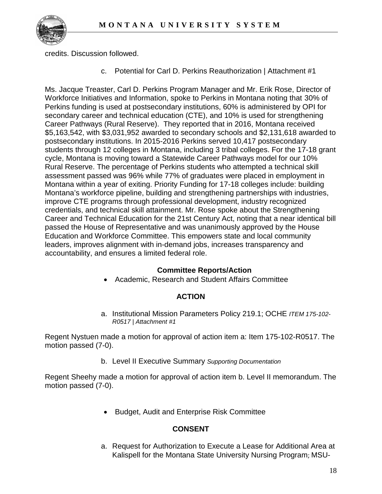

credits. Discussion followed.

c. Potential for Carl D. Perkins Reauthorization | Attachment #1

Ms. Jacque Treaster, Carl D. Perkins Program Manager and Mr. Erik Rose, Director of Workforce Initiatives and Information, spoke to Perkins in Montana noting that 30% of Perkins funding is used at postsecondary institutions, 60% is administered by OPI for secondary career and technical education (CTE), and 10% is used for strengthening Career Pathways (Rural Reserve). They reported that in 2016, Montana received \$5,163,542, with \$3,031,952 awarded to secondary schools and \$2,131,618 awarded to postsecondary institutions. In 2015-2016 Perkins served 10,417 postsecondary students through 12 colleges in Montana, including 3 tribal colleges. For the 17-18 grant cycle, Montana is moving toward a Statewide Career Pathways model for our 10% Rural Reserve. The percentage of Perkins students who attempted a technical skill assessment passed was 96% while 77% of graduates were placed in employment in Montana within a year of exiting. Priority Funding for 17-18 colleges include: building Montana's workforce pipeline, building and strengthening partnerships with industries, improve CTE programs through professional development, industry recognized credentials, and technical skill attainment. Mr. Rose spoke about the Strengthening Career and Technical Education for the 21st Century Act, noting that a near identical bill passed the House of Representative and was unanimously approved by the House Education and Workforce Committee. This empowers state and local community leaders, improves alignment with in-demand jobs, increases transparency and accountability, and ensures a limited federal role.

#### **Committee Reports/Action**

• Academic, Research and Student Affairs Committee

# **ACTION**

a. Institutional Mission Parameters Policy 219.1; OCHE *ITEM 175-102- R0517 | Attachment #1* 

Regent Nystuen made a motion for approval of action item a: Item 175-102-R0517. The motion passed (7-0).

b. Level II Executive Summary *Supporting Documentation*

Regent Sheehy made a motion for approval of action item b. Level II memorandum. The motion passed (7-0).

• Budget, Audit and Enterprise Risk Committee

# **CONSENT**

a. Request for Authorization to Execute a Lease for Additional Area at Kalispell for the Montana State University Nursing Program; MSU-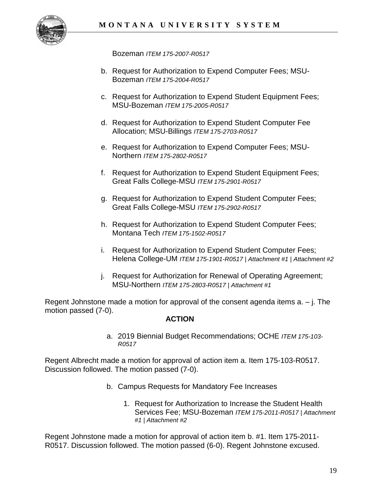

Bozeman *ITEM 175-2007-R0517*

- b. Request for Authorization to Expend Computer Fees; MSU-Bozeman *ITEM 175-2004-R0517*
- c. Request for Authorization to Expend Student Equipment Fees; MSU-Bozeman *ITEM 175-2005-R0517*
- d. Request for Authorization to Expend Student Computer Fee Allocation; MSU-Billings *ITEM 175-2703-R0517*
- e. Request for Authorization to Expend Computer Fees; MSU-Northern *ITEM 175-2802-R0517*
- f. Request for Authorization to Expend Student Equipment Fees; Great Falls College-MSU *ITEM 175-2901-R0517*
- g. Request for Authorization to Expend Student Computer Fees; Great Falls College-MSU *ITEM 175-2902-R0517*
- h. Request for Authorization to Expend Student Computer Fees; Montana Tech *ITEM 175-1502-R0517*
- i. Request for Authorization to Expend Student Computer Fees; Helena College-UM *ITEM 175-1901-R0517 | Attachment #1 | Attachment #2*
- j. Request for Authorization for Renewal of Operating Agreement; MSU-Northern *ITEM 175-2803-R0517 | Attachment #1*

Regent Johnstone made a motion for approval of the consent agenda items  $a - j$ . The motion passed (7-0).

#### **ACTION**

a. 2019 Biennial Budget Recommendations; OCHE *ITEM 175-103- R0517*

Regent Albrecht made a motion for approval of action item a. Item 175-103-R0517. Discussion followed. The motion passed (7-0).

- b. Campus Requests for Mandatory Fee Increases
	- 1. Request for Authorization to Increase the Student Health Services Fee; MSU-Bozeman *ITEM 175-2011-R0517 | Attachment #1 | Attachment #2*

Regent Johnstone made a motion for approval of action item b. #1. Item 175-2011- R0517. Discussion followed. The motion passed (6-0). Regent Johnstone excused.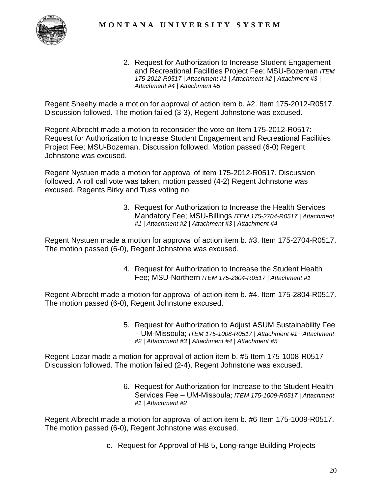

2. Request for Authorization to Increase Student Engagement and Recreational Facilities Project Fee; MSU-Bozeman *ITEM 175-2012-R0517 | Attachment #1 | Attachment #2 | Attachment #3 | Attachment #4 | Attachment #5*

Regent Sheehy made a motion for approval of action item b. #2. Item 175-2012-R0517. Discussion followed. The motion failed (3-3), Regent Johnstone was excused.

Regent Albrecht made a motion to reconsider the vote on Item 175-2012-R0517: Request for Authorization to Increase Student Engagement and Recreational Facilities Project Fee; MSU-Bozeman. Discussion followed. Motion passed (6-0) Regent Johnstone was excused.

Regent Nystuen made a motion for approval of item 175-2012-R0517. Discussion followed. A roll call vote was taken, motion passed (4-2) Regent Johnstone was excused. Regents Birky and Tuss voting no.

> 3. Request for Authorization to Increase the Health Services Mandatory Fee; MSU-Billings *ITEM 175-2704-R0517 | Attachment #1 | Attachment #2 | Attachment #3 | Attachment #4*

Regent Nystuen made a motion for approval of action item b. #3. Item 175-2704-R0517. The motion passed (6-0), Regent Johnstone was excused.

> 4. Request for Authorization to Increase the Student Health Fee; MSU-Northern *ITEM 175-2804-R0517 | Attachment #1*

Regent Albrecht made a motion for approval of action item b. #4. Item 175-2804-R0517. The motion passed (6-0), Regent Johnstone excused.

> 5. Request for Authorization to Adjust ASUM Sustainability Fee – UM-Missoula; *ITEM 175-1008-R0517 | Attachment #1 | Attachment #2 | Attachment #3 | Attachment #4 | Attachment #5*

Regent Lozar made a motion for approval of action item b. #5 Item 175-1008-R0517 Discussion followed. The motion failed (2-4), Regent Johnstone was excused.

> 6. Request for Authorization for Increase to the Student Health Services Fee – UM-Missoula; *ITEM 175-1009-R0517 | Attachment #1 | Attachment #2*

Regent Albrecht made a motion for approval of action item b. #6 Item 175-1009-R0517. The motion passed (6-0), Regent Johnstone was excused.

c. Request for Approval of HB 5, Long-range Building Projects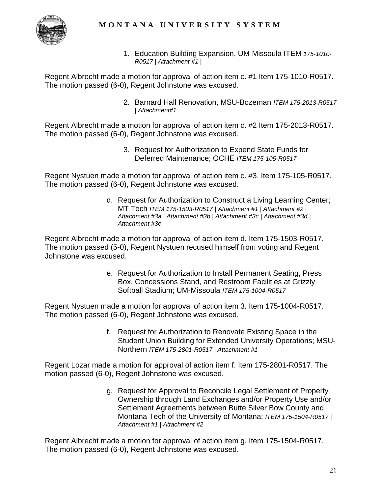

1. Education Building Expansion, UM-Missoula ITEM *175-1010- R0517 | Attachment #1 |* 

Regent Albrecht made a motion for approval of action item c. #1 Item 175-1010-R0517. The motion passed (6-0), Regent Johnstone was excused.

> 2. Barnard Hall Renovation, MSU-Bozeman *ITEM 175-2013-R0517 | Attachment#1*

Regent Albrecht made a motion for approval of action item c. #2 Item 175-2013-R0517. The motion passed (6-0), Regent Johnstone was excused.

> 3. Request for Authorization to Expend State Funds for Deferred Maintenance; OCHE *ITEM 175-105-R0517*

Regent Nystuen made a motion for approval of action item c. #3. Item 175-105-R0517. The motion passed (6-0), Regent Johnstone was excused.

> d. Request for Authorization to Construct a Living Learning Center; MT Tech *ITEM 175-1503-R0517 | Attachment #1 | Attachment #2 | Attachment #3a | Attachment #3b | Attachment #3c | Attachment #3d | Attachment #3e*

Regent Albrecht made a motion for approval of action item d. Item 175-1503-R0517. The motion passed (5-0), Regent Nystuen recused himself from voting and Regent Johnstone was excused.

> e. Request for Authorization to Install Permanent Seating, Press Box, Concessions Stand, and Restroom Facilities at Grizzly Softball Stadium; UM-Missoula *ITEM 175-1004-R0517*

Regent Nystuen made a motion for approval of action item 3. Item 175-1004-R0517. The motion passed (6-0), Regent Johnstone was excused.

> f. Request for Authorization to Renovate Existing Space in the Student Union Building for Extended University Operations; MSU-Northern *ITEM 175-2801-R0517 | Attachment #1*

Regent Lozar made a motion for approval of action item f. Item 175-2801-R0517. The motion passed (6-0), Regent Johnstone was excused.

> g. Request for Approval to Reconcile Legal Settlement of Property Ownership through Land Exchanges and/or Property Use and/or Settlement Agreements between Butte Silver Bow County and Montana Tech of the University of Montana; *ITEM 175-1504-R0517 | Attachment #1 | Attachment #2*

Regent Albrecht made a motion for approval of action item g. Item 175-1504-R0517. The motion passed (6-0), Regent Johnstone was excused.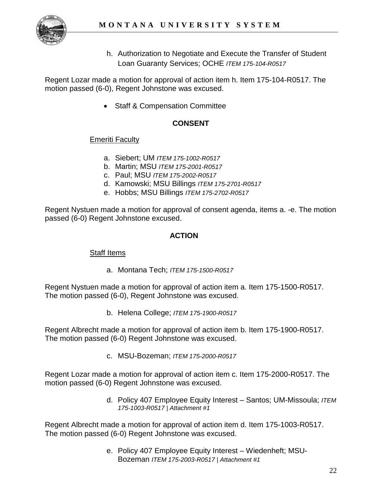

h. Authorization to Negotiate and Execute the Transfer of Student Loan Guaranty Services; OCHE *ITEM 175-104-R0517*

Regent Lozar made a motion for approval of action item h. Item 175-104-R0517. The motion passed (6-0), Regent Johnstone was excused.

• Staff & Compensation Committee

# **CONSENT**

# **Emeriti Faculty**

- a. Siebert; UM *ITEM 175-1002-R0517*
- b. Martin; MSU *ITEM 175-2001-R0517*
- c. Paul; MSU *ITEM 175-2002-R0517*
- d. Kamowski; MSU Billings *ITEM 175-2701-R0517*
- e. Hobbs; MSU Billings *ITEM 175-2702-R0517*

Regent Nystuen made a motion for approval of consent agenda, items a. -e. The motion passed (6-0) Regent Johnstone excused.

### **ACTION**

#### Staff Items

a. Montana Tech; *ITEM 175-1500-R0517*

Regent Nystuen made a motion for approval of action item a. Item 175-1500-R0517. The motion passed (6-0), Regent Johnstone was excused.

b. Helena College; *ITEM 175-1900-R0517*

Regent Albrecht made a motion for approval of action item b. Item 175-1900-R0517. The motion passed (6-0) Regent Johnstone was excused.

c. MSU-Bozeman; *ITEM 175-2000-R0517*

Regent Lozar made a motion for approval of action item c. Item 175-2000-R0517. The motion passed (6-0) Regent Johnstone was excused.

> d. Policy 407 Employee Equity Interest – Santos; UM-Missoula; *ITEM 175-1003-R0517 | Attachment #1*

Regent Albrecht made a motion for approval of action item d. Item 175-1003-R0517. The motion passed (6-0) Regent Johnstone was excused.

> e. Policy 407 Employee Equity Interest – Wiedenheft; MSU-Bozeman *ITEM 175-2003-R0517 | Attachment #1*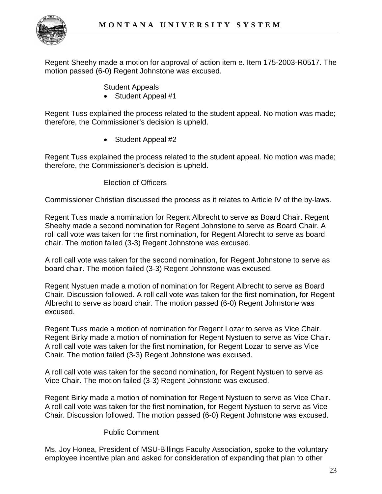

Regent Sheehy made a motion for approval of action item e. Item 175-2003-R0517. The motion passed (6-0) Regent Johnstone was excused.

Student Appeals

• Student Appeal #1

Regent Tuss explained the process related to the student appeal. No motion was made; therefore, the Commissioner's decision is upheld.

• Student Appeal #2

Regent Tuss explained the process related to the student appeal. No motion was made; therefore, the Commissioner's decision is upheld.

#### Election of Officers

Commissioner Christian discussed the process as it relates to Article IV of the by-laws.

Regent Tuss made a nomination for Regent Albrecht to serve as Board Chair. Regent Sheehy made a second nomination for Regent Johnstone to serve as Board Chair. A roll call vote was taken for the first nomination, for Regent Albrecht to serve as board chair. The motion failed (3-3) Regent Johnstone was excused.

A roll call vote was taken for the second nomination, for Regent Johnstone to serve as board chair. The motion failed (3-3) Regent Johnstone was excused.

Regent Nystuen made a motion of nomination for Regent Albrecht to serve as Board Chair. Discussion followed. A roll call vote was taken for the first nomination, for Regent Albrecht to serve as board chair. The motion passed (6-0) Regent Johnstone was excused.

Regent Tuss made a motion of nomination for Regent Lozar to serve as Vice Chair. Regent Birky made a motion of nomination for Regent Nystuen to serve as Vice Chair. A roll call vote was taken for the first nomination, for Regent Lozar to serve as Vice Chair. The motion failed (3-3) Regent Johnstone was excused.

A roll call vote was taken for the second nomination, for Regent Nystuen to serve as Vice Chair. The motion failed (3-3) Regent Johnstone was excused.

Regent Birky made a motion of nomination for Regent Nystuen to serve as Vice Chair. A roll call vote was taken for the first nomination, for Regent Nystuen to serve as Vice Chair. Discussion followed. The motion passed (6-0) Regent Johnstone was excused.

#### Public Comment

Ms. Joy Honea, President of MSU-Billings Faculty Association, spoke to the voluntary employee incentive plan and asked for consideration of expanding that plan to other